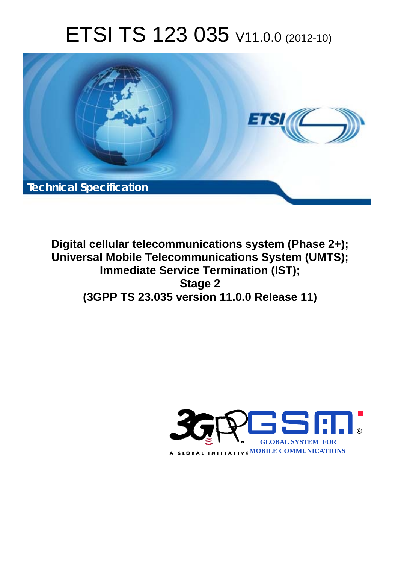# ETSI TS 123 035 V11.0.0 (2012-10)



**Digital cellular telecommunications system (Phase 2+); Universal Mobile Telecommunications System (UMTS); Immediate Service Termination (IST); Stage 2 (3GPP TS 23.035 version 11.0.0 Release 11)** 

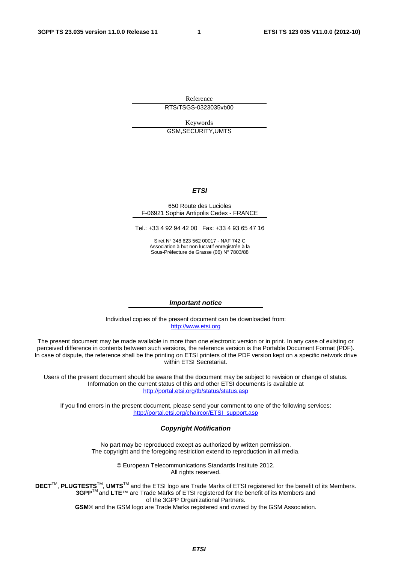Reference RTS/TSGS-0323035vb00

Keywords GSM,SECURITY,UMTS

#### *ETSI*

#### 650 Route des Lucioles F-06921 Sophia Antipolis Cedex - FRANCE

Tel.: +33 4 92 94 42 00 Fax: +33 4 93 65 47 16

Siret N° 348 623 562 00017 - NAF 742 C Association à but non lucratif enregistrée à la Sous-Préfecture de Grasse (06) N° 7803/88

#### *Important notice*

Individual copies of the present document can be downloaded from: [http://www.etsi.org](http://www.etsi.org/)

The present document may be made available in more than one electronic version or in print. In any case of existing or perceived difference in contents between such versions, the reference version is the Portable Document Format (PDF). In case of dispute, the reference shall be the printing on ETSI printers of the PDF version kept on a specific network drive within ETSI Secretariat.

Users of the present document should be aware that the document may be subject to revision or change of status. Information on the current status of this and other ETSI documents is available at <http://portal.etsi.org/tb/status/status.asp>

If you find errors in the present document, please send your comment to one of the following services: [http://portal.etsi.org/chaircor/ETSI\\_support.asp](http://portal.etsi.org/chaircor/ETSI_support.asp)

#### *Copyright Notification*

No part may be reproduced except as authorized by written permission. The copyright and the foregoing restriction extend to reproduction in all media.

> © European Telecommunications Standards Institute 2012. All rights reserved.

DECT<sup>™</sup>, PLUGTESTS<sup>™</sup>, UMTS<sup>™</sup> and the ETSI logo are Trade Marks of ETSI registered for the benefit of its Members. **3GPP**TM and **LTE**™ are Trade Marks of ETSI registered for the benefit of its Members and of the 3GPP Organizational Partners.

**GSM**® and the GSM logo are Trade Marks registered and owned by the GSM Association.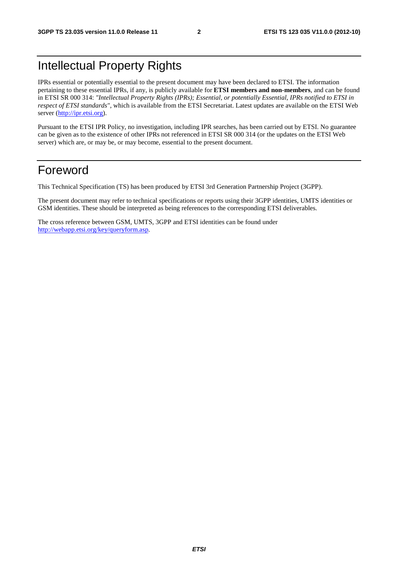# Intellectual Property Rights

IPRs essential or potentially essential to the present document may have been declared to ETSI. The information pertaining to these essential IPRs, if any, is publicly available for **ETSI members and non-members**, and can be found in ETSI SR 000 314: *"Intellectual Property Rights (IPRs); Essential, or potentially Essential, IPRs notified to ETSI in respect of ETSI standards"*, which is available from the ETSI Secretariat. Latest updates are available on the ETSI Web server [\(http://ipr.etsi.org](http://webapp.etsi.org/IPR/home.asp)).

Pursuant to the ETSI IPR Policy, no investigation, including IPR searches, has been carried out by ETSI. No guarantee can be given as to the existence of other IPRs not referenced in ETSI SR 000 314 (or the updates on the ETSI Web server) which are, or may be, or may become, essential to the present document.

# Foreword

This Technical Specification (TS) has been produced by ETSI 3rd Generation Partnership Project (3GPP).

The present document may refer to technical specifications or reports using their 3GPP identities, UMTS identities or GSM identities. These should be interpreted as being references to the corresponding ETSI deliverables.

The cross reference between GSM, UMTS, 3GPP and ETSI identities can be found under <http://webapp.etsi.org/key/queryform.asp>.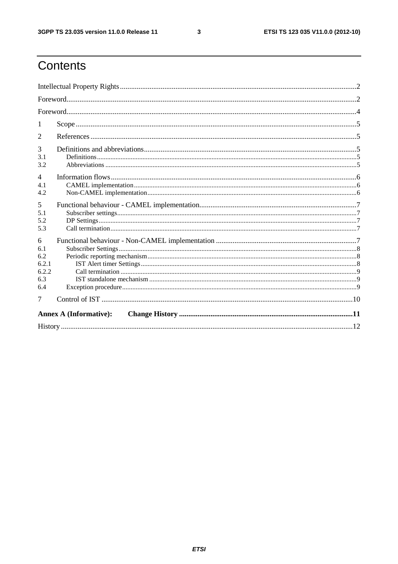$\mathbf{3}$ 

# Contents

| 2                                               |  |  |  |  |  |
|-------------------------------------------------|--|--|--|--|--|
| 3<br>3.1<br>3.2                                 |  |  |  |  |  |
| $\overline{4}$<br>4.1<br>4.2                    |  |  |  |  |  |
| 5<br>5.1<br>5.2<br>5.3                          |  |  |  |  |  |
| 6<br>6.1<br>6.2<br>6.2.1<br>6.2.2<br>6.3<br>6.4 |  |  |  |  |  |
| 7<br><b>Annex A (Informative):</b>              |  |  |  |  |  |
|                                                 |  |  |  |  |  |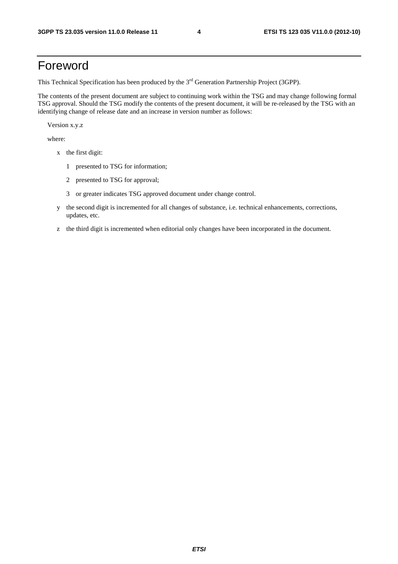# Foreword

This Technical Specification has been produced by the 3<sup>rd</sup> Generation Partnership Project (3GPP).

The contents of the present document are subject to continuing work within the TSG and may change following formal TSG approval. Should the TSG modify the contents of the present document, it will be re-released by the TSG with an identifying change of release date and an increase in version number as follows:

Version x.y.z

where:

- x the first digit:
	- 1 presented to TSG for information;
	- 2 presented to TSG for approval;
	- 3 or greater indicates TSG approved document under change control.
- y the second digit is incremented for all changes of substance, i.e. technical enhancements, corrections, updates, etc.
- z the third digit is incremented when editorial only changes have been incorporated in the document.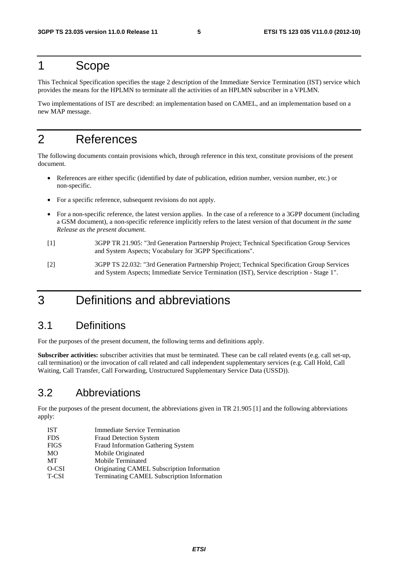## 1 Scope

This Technical Specification specifies the stage 2 description of the Immediate Service Termination (IST) service which provides the means for the HPLMN to terminate all the activities of an HPLMN subscriber in a VPLMN.

Two implementations of IST are described: an implementation based on CAMEL, and an implementation based on a new MAP message.

# 2 References

The following documents contain provisions which, through reference in this text, constitute provisions of the present document.

- References are either specific (identified by date of publication, edition number, version number, etc.) or non-specific.
- For a specific reference, subsequent revisions do not apply.
- For a non-specific reference, the latest version applies. In the case of a reference to a 3GPP document (including a GSM document), a non-specific reference implicitly refers to the latest version of that document *in the same Release as the present document*.
- [1] 3GPP TR 21.905: "3rd Generation Partnership Project; Technical Specification Group Services and System Aspects; Vocabulary for 3GPP Specifications".
- [2] 3GPP TS 22.032: "3rd Generation Partnership Project; Technical Specification Group Services and System Aspects; Immediate Service Termination (IST), Service description - Stage 1".

# 3 Definitions and abbreviations

#### 3.1 Definitions

For the purposes of the present document, the following terms and definitions apply.

**Subscriber activities:** subscriber activities that must be terminated. These can be call related events (e.g. call set-up, call termination) or the invocation of call related and call independent supplementary services (e.g. Call Hold, Call Waiting, Call Transfer, Call Forwarding, Unstructured Supplementary Service Data (USSD)).

### 3.2 Abbreviations

For the purposes of the present document, the abbreviations given in TR 21.905 [1] and the following abbreviations apply:

IST Immediate Service Termination FDS Fraud Detection System FIGS Fraud Information Gathering System MO Mobile Originated MT Mobile Terminated O-CSI Originating CAMEL Subscription Information T-CSI Terminating CAMEL Subscription Information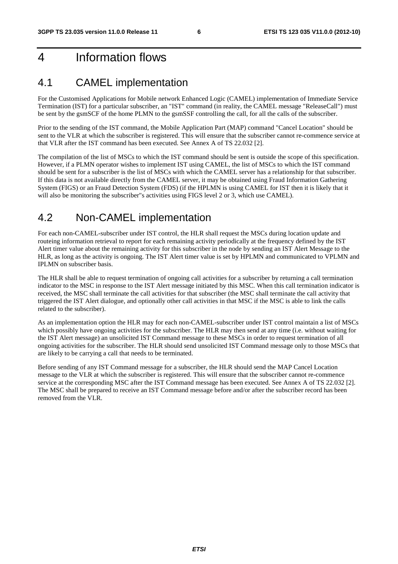# 4 Information flows

#### 4.1 CAMEL implementation

For the Customised Applications for Mobile network Enhanced Logic (CAMEL) implementation of Immediate Service Termination (IST) for a particular subscriber, an "IST" command (in reality, the CAMEL message "ReleaseCall") must be sent by the gsmSCF of the home PLMN to the gsmSSF controlling the call, for all the calls of the subscriber.

Prior to the sending of the IST command, the Mobile Application Part (MAP) command "Cancel Location" should be sent to the VLR at which the subscriber is registered. This will ensure that the subscriber cannot re-commence service at that VLR after the IST command has been executed. See Annex A of TS 22.032 [2].

The compilation of the list of MSCs to which the IST command should be sent is outside the scope of this specification. However, if a PLMN operator wishes to implement IST using CAMEL, the list of MSCs to which the IST command should be sent for a subscriber is the list of MSCs with which the CAMEL server has a relationship for that subscriber. If this data is not available directly from the CAMEL server, it may be obtained using Fraud Information Gathering System (FIGS) or an Fraud Detection System (FDS) (if the HPLMN is using CAMEL for IST then it is likely that it will also be monitoring the subscriber"s activities using FIGS level 2 or 3, which use CAMEL).

### 4.2 Non-CAMEL implementation

For each non-CAMEL-subscriber under IST control, the HLR shall request the MSCs during location update and routeing information retrieval to report for each remaining activity periodically at the frequency defined by the IST Alert timer value about the remaining activity for this subscriber in the node by sending an IST Alert Message to the HLR, as long as the activity is ongoing. The IST Alert timer value is set by HPLMN and communicated to VPLMN and IPLMN on subscriber basis.

The HLR shall be able to request termination of ongoing call activities for a subscriber by returning a call termination indicator to the MSC in response to the IST Alert message initiated by this MSC. When this call termination indicator is received, the MSC shall terminate the call activities for that subscriber (the MSC shall terminate the call activity that triggered the IST Alert dialogue, and optionally other call activities in that MSC if the MSC is able to link the calls related to the subscriber).

As an implementation option the HLR may for each non-CAMEL-subscriber under IST control maintain a list of MSCs which possibly have ongoing activities for the subscriber. The HLR may then send at any time (i.e. without waiting for the IST Alert message) an unsolicited IST Command message to these MSCs in order to request termination of all ongoing activities for the subscriber. The HLR should send unsolicited IST Command message only to those MSCs that are likely to be carrying a call that needs to be terminated.

Before sending of any IST Command message for a subscriber, the HLR should send the MAP Cancel Location message to the VLR at which the subscriber is registered. This will ensure that the subscriber cannot re-commence service at the corresponding MSC after the IST Command message has been executed. See Annex A of TS 22.032 [2]. The MSC shall be prepared to receive an IST Command message before and/or after the subscriber record has been removed from the VLR.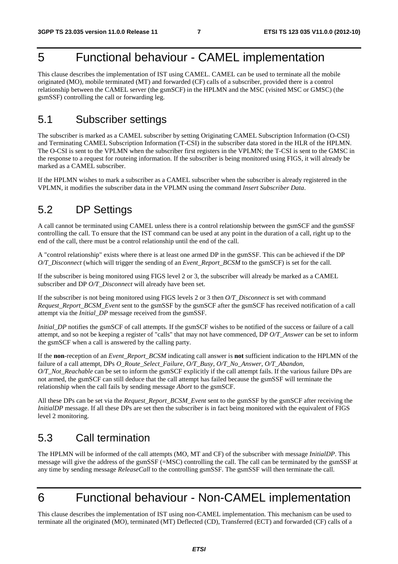# 5 Functional behaviour - CAMEL implementation

This clause describes the implementation of IST using CAMEL. CAMEL can be used to terminate all the mobile originated (MO), mobile terminated (MT) and forwarded (CF) calls of a subscriber, provided there is a control relationship between the CAMEL server (the gsmSCF) in the HPLMN and the MSC (visited MSC or GMSC) (the gsmSSF) controlling the call or forwarding leg.

#### 5.1 Subscriber settings

The subscriber is marked as a CAMEL subscriber by setting Originating CAMEL Subscription Information (O-CSI) and Terminating CAMEL Subscription Information (T-CSI) in the subscriber data stored in the HLR of the HPLMN. The O-CSI is sent to the VPLMN when the subscriber first registers in the VPLMN; the T-CSI is sent to the GMSC in the response to a request for routeing information. If the subscriber is being monitored using FIGS, it will already be marked as a CAMEL subscriber.

If the HPLMN wishes to mark a subscriber as a CAMEL subscriber when the subscriber is already registered in the VPLMN, it modifies the subscriber data in the VPLMN using the command *Insert Subscriber Data*.

### 5.2 DP Settings

A call cannot be terminated using CAMEL unless there is a control relationship between the gsmSCF and the gsmSSF controlling the call. To ensure that the IST command can be used at any point in the duration of a call, right up to the end of the call, there must be a control relationship until the end of the call.

A "control relationship" exists where there is at least one armed DP in the gsmSSF. This can be achieved if the DP *O/T\_Disconnect* (which will trigger the sending of an *Event\_Report\_BCSM* to the gsmSCF) is set for the call.

If the subscriber is being monitored using FIGS level 2 or 3, the subscriber will already be marked as a CAMEL subscriber and DP *O/T\_Disconnect* will already have been set.

If the subscriber is not being monitored using FIGS levels 2 or 3 then *O/T\_Disconnect* is set with command *Request\_Report\_BCSM\_Event* sent to the gsmSSF by the gsmSCF after the gsmSCF has received notification of a call attempt via the *Initial\_DP* message received from the gsmSSF.

*Initial DP* notifies the gsmSCF of call attempts. If the gsmSCF wishes to be notified of the success or failure of a call attempt, and so not be keeping a register of "calls" that may not have commenced, DP *O/T\_Answer* can be set to inform the gsmSCF when a call is answered by the calling party.

If the **non**-reception of an *Event\_Report\_BCSM* indicating call answer is **not** sufficient indication to the HPLMN of the failure of a call attempt, DPs *O\_Route\_Select\_Failure, O/T\_Busy, O/T\_No\_Answer, O/T\_Abandon, O/T\_Not\_Reachable* can be set to inform the gsmSCF explicitly if the call attempt fails. If the various failure DPs are not armed, the gsmSCF can still deduce that the call attempt has failed because the gsmSSF will terminate the relationship when the call fails by sending message *Abort* to the gsmSCF.

All these DPs can be set via the *Request Report BCSM Event* sent to the gsmSSF by the gsmSCF after receiving the *InitialDP* message. If all these DPs are set then the subscriber is in fact being monitored with the equivalent of FIGS level 2 monitoring.

# 5.3 Call termination

The HPLMN will be informed of the call attempts (MO, MT and CF) of the subscriber with message *InitialDP*. This message will give the address of the gsmSSF (=MSC) controlling the call. The call can be terminated by the gsmSSF at any time by sending message *ReleaseCall* to the controlling gsmSSF. The gsmSSF will then terminate the call.

# 6 Functional behaviour - Non-CAMEL implementation

This clause describes the implementation of IST using non-CAMEL implementation. This mechanism can be used to terminate all the originated (MO), terminated (MT) Deflected (CD), Transferred (ECT) and forwarded (CF) calls of a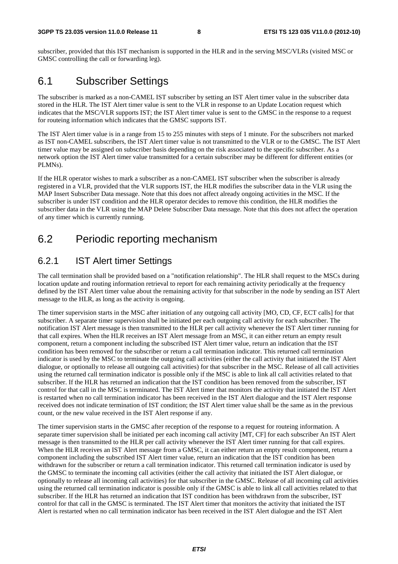subscriber, provided that this IST mechanism is supported in the HLR and in the serving MSC/VLRs (visited MSC or GMSC controlling the call or forwarding leg).

#### 6.1 Subscriber Settings

The subscriber is marked as a non-CAMEL IST subscriber by setting an IST Alert timer value in the subscriber data stored in the HLR. The IST Alert timer value is sent to the VLR in response to an Update Location request which indicates that the MSC/VLR supports IST; the IST Alert timer value is sent to the GMSC in the response to a request for routeing information which indicates that the GMSC supports IST.

The IST Alert timer value is in a range from 15 to 255 minutes with steps of 1 minute. For the subscribers not marked as IST non-CAMEL subscribers, the IST Alert timer value is not transmitted to the VLR or to the GMSC. The IST Alert timer value may be assigned on subscriber basis depending on the risk associated to the specific subscriber. As a network option the IST Alert timer value transmitted for a certain subscriber may be different for different entities (or PLMNs).

If the HLR operator wishes to mark a subscriber as a non-CAMEL IST subscriber when the subscriber is already registered in a VLR, provided that the VLR supports IST, the HLR modifies the subscriber data in the VLR using the MAP Insert Subscriber Data message. Note that this does not affect already ongoing activities in the MSC. If the subscriber is under IST condition and the HLR operator decides to remove this condition, the HLR modifies the subscriber data in the VLR using the MAP Delete Subscriber Data message. Note that this does not affect the operation of any timer which is currently running.

### 6.2 Periodic reporting mechanism

#### 6.2.1 IST Alert timer Settings

The call termination shall be provided based on a "notification relationship". The HLR shall request to the MSCs during location update and routing information retrieval to report for each remaining activity periodically at the frequency defined by the IST Alert timer value about the remaining activity for that subscriber in the node by sending an IST Alert message to the HLR, as long as the activity is ongoing.

The timer supervision starts in the MSC after initiation of any outgoing call activity [MO, CD, CF, ECT calls] for that subscriber. A separate timer supervision shall be initiated per each outgoing call activity for each subscriber. The notification IST Alert message is then transmitted to the HLR per call activity whenever the IST Alert timer running for that call expires. When the HLR receives an IST Alert message from an MSC, it can either return an empty result component, return a component including the subscribed IST Alert timer value, return an indication that the IST condition has been removed for the subscriber or return a call termination indicator. This returned call termination indicator is used by the MSC to terminate the outgoing call activities (either the call activity that initiated the IST Alert dialogue, or optionally to release all outgoing call activities) for that subscriber in the MSC. Release of all call activities using the returned call termination indicator is possible only if the MSC is able to link all call activities related to that subscriber. If the HLR has returned an indication that the IST condition has been removed from the subscriber, IST control for that call in the MSC is terminated. The IST Alert timer that monitors the activity that initiated the IST Alert is restarted when no call termination indicator has been received in the IST Alert dialogue and the IST Alert response received does not indicate termination of IST condition; the IST Alert timer value shall be the same as in the previous count, or the new value received in the IST Alert response if any.

The timer supervision starts in the GMSC after reception of the response to a request for routeing information. A separate timer supervision shall be initiated per each incoming call activity [MT, CF] for each subscriber An IST Alert message is then transmitted to the HLR per call activity whenever the IST Alert timer running for that call expires. When the HLR receives an IST Alert message from a GMSC, it can either return an empty result component, return a component including the subscribed IST Alert timer value, return an indication that the IST condition has been withdrawn for the subscriber or return a call termination indicator. This returned call termination indicator is used by the GMSC to terminate the incoming call activities (either the call activity that initiated the IST Alert dialogue, or optionally to release all incoming call activities) for that subscriber in the GMSC. Release of all incoming call activities using the returned call termination indicator is possible only if the GMSC is able to link all call activities related to that subscriber. If the HLR has returned an indication that IST condition has been withdrawn from the subscriber, IST control for that call in the GMSC is terminated. The IST Alert timer that monitors the activity that initiated the IST Alert is restarted when no call termination indicator has been received in the IST Alert dialogue and the IST Alert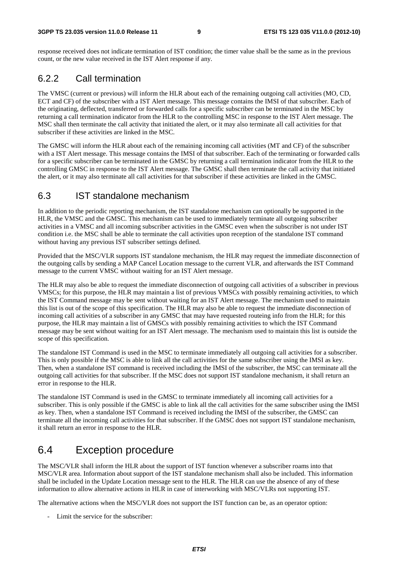response received does not indicate termination of IST condition; the timer value shall be the same as in the previous count, or the new value received in the IST Alert response if any.

#### 6.2.2 Call termination

The VMSC (current or previous) will inform the HLR about each of the remaining outgoing call activities (MO, CD, ECT and CF) of the subscriber with a IST Alert message. This message contains the IMSI of that subscriber. Each of the originating, deflected, transferred or forwarded calls for a specific subscriber can be terminated in the MSC by returning a call termination indicator from the HLR to the controlling MSC in response to the IST Alert message. The MSC shall then terminate the call activity that initiated the alert, or it may also terminate all call activities for that subscriber if these activities are linked in the MSC.

The GMSC will inform the HLR about each of the remaining incoming call activities (MT and CF) of the subscriber with a IST Alert message. This message contains the IMSI of that subscriber. Each of the terminating or forwarded calls for a specific subscriber can be terminated in the GMSC by returning a call termination indicator from the HLR to the controlling GMSC in response to the IST Alert message. The GMSC shall then terminate the call activity that initiated the alert, or it may also terminate all call activities for that subscriber if these activities are linked in the GMSC.

#### 6.3 IST standalone mechanism

In addition to the periodic reporting mechanism, the IST standalone mechanism can optionally be supported in the HLR, the VMSC and the GMSC. This mechanism can be used to immediately terminate all outgoing subscriber activities in a VMSC and all incoming subscriber activities in the GMSC even when the subscriber is not under IST condition i.e. the MSC shall be able to terminate the call activities upon reception of the standalone IST command without having any previous IST subscriber settings defined.

Provided that the MSC/VLR supports IST standalone mechanism, the HLR may request the immediate disconnection of the outgoing calls by sending a MAP Cancel Location message to the current VLR, and afterwards the IST Command message to the current VMSC without waiting for an IST Alert message.

The HLR may also be able to request the immediate disconnection of outgoing call activities of a subscriber in previous VMSCs; for this purpose, the HLR may maintain a list of previous VMSCs with possibly remaining activities, to which the IST Command message may be sent without waiting for an IST Alert message. The mechanism used to maintain this list is out of the scope of this specification. The HLR may also be able to request the immediate disconnection of incoming call activities of a subscriber in any GMSC that may have requested routeing info from the HLR; for this purpose, the HLR may maintain a list of GMSCs with possibly remaining activities to which the IST Command message may be sent without waiting for an IST Alert message. The mechanism used to maintain this list is outside the scope of this specification.

The standalone IST Command is used in the MSC to terminate immediately all outgoing call activities for a subscriber. This is only possible if the MSC is able to link all the call activities for the same subscriber using the IMSI as key. Then, when a standalone IST command is received including the IMSI of the subscriber, the MSC can terminate all the outgoing call activities for that subscriber. If the MSC does not support IST standalone mechanism, it shall return an error in response to the HLR.

The standalone IST Command is used in the GMSC to terminate immediately all incoming call activities for a subscriber. This is only possible if the GMSC is able to link all the call activities for the same subscriber using the IMSI as key. Then, when a standalone IST Command is received including the IMSI of the subscriber, the GMSC can terminate all the incoming call activities for that subscriber. If the GMSC does not support IST standalone mechanism, it shall return an error in response to the HLR.

# 6.4 Exception procedure

The MSC/VLR shall inform the HLR about the support of IST function whenever a subscriber roams into that MSC/VLR area. Information about support of the IST standalone mechanism shall also be included. This information shall be included in the Update Location message sent to the HLR. The HLR can use the absence of any of these information to allow alternative actions in HLR in case of interworking with MSC/VLRs not supporting IST.

The alternative actions when the MSC/VLR does not support the IST function can be, as an operator option:

- Limit the service for the subscriber: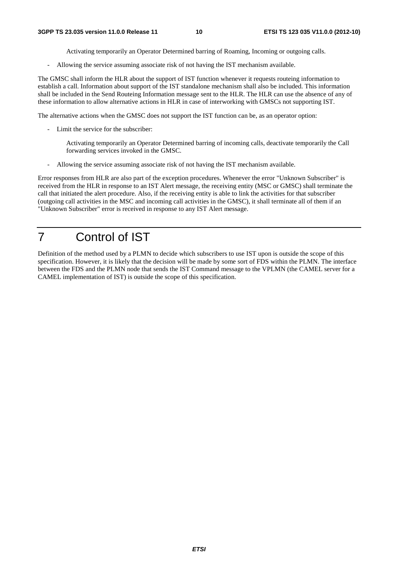Activating temporarily an Operator Determined barring of Roaming, Incoming or outgoing calls.

- Allowing the service assuming associate risk of not having the IST mechanism available.

The GMSC shall inform the HLR about the support of IST function whenever it requests routeing information to establish a call. Information about support of the IST standalone mechanism shall also be included. This information shall be included in the Send Routeing Information message sent to the HLR. The HLR can use the absence of any of these information to allow alternative actions in HLR in case of interworking with GMSCs not supporting IST.

The alternative actions when the GMSC does not support the IST function can be, as an operator option:

- Limit the service for the subscriber:

 Activating temporarily an Operator Determined barring of incoming calls, deactivate temporarily the Call forwarding services invoked in the GMSC.

- Allowing the service assuming associate risk of not having the IST mechanism available.

Error responses from HLR are also part of the exception procedures. Whenever the error "Unknown Subscriber" is received from the HLR in response to an IST Alert message, the receiving entity (MSC or GMSC) shall terminate the call that initiated the alert procedure. Also, if the receiving entity is able to link the activities for that subscriber (outgoing call activities in the MSC and incoming call activities in the GMSC), it shall terminate all of them if an "Unknown Subscriber" error is received in response to any IST Alert message.

# 7 Control of IST

Definition of the method used by a PLMN to decide which subscribers to use IST upon is outside the scope of this specification. However, it is likely that the decision will be made by some sort of FDS within the PLMN. The interface between the FDS and the PLMN node that sends the IST Command message to the VPLMN (the CAMEL server for a CAMEL implementation of IST) is outside the scope of this specification.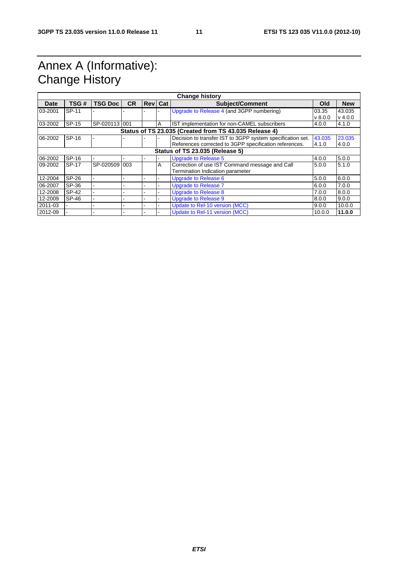# Annex A (Informative): Change History

| <b>Change history</b>                                  |       |                |           |  |                |                                                            |              |            |
|--------------------------------------------------------|-------|----------------|-----------|--|----------------|------------------------------------------------------------|--------------|------------|
| <b>Date</b>                                            | TSG#  | <b>TSG Doc</b> | <b>CR</b> |  | <b>Rev</b> Cat | <b>Subject/Comment</b>                                     | Old          | <b>New</b> |
| 03-2001                                                | SP-11 |                |           |  |                | Upgrade to Release 4 (and 3GPP numbering)                  | 03.35        | 43.035     |
|                                                        |       |                |           |  |                |                                                            | $\vee$ 8.0.0 | $v$ 4.0.0  |
| 03-2002                                                | SP-15 | SP-020113 001  |           |  | A              | IST implementation for non-CAMEL subscribers               | 4.0.0        | 4.1.0      |
| Status of TS 23.035 (Created from TS 43.035 Release 4) |       |                |           |  |                |                                                            |              |            |
| 06-2002                                                | SP-16 |                |           |  |                | Decision to transfer IST to 3GPP system specification set. | 43.035       | 23.035     |
|                                                        |       |                |           |  |                | References corrected to 3GPP specification references.     | 4.1.0        | 4.0.0      |
| Status of TS 23.035 (Release 5)                        |       |                |           |  |                |                                                            |              |            |
| 06-2002                                                | SP-16 |                |           |  |                | <b>Upgrade to Release 5</b>                                | 4.0.0        | 5.0.0      |
| 09-2002                                                | SP-17 | SP-020509 003  |           |  | A              | Correction of use IST Command message and Call             | 5.0.0        | 5.1.0      |
|                                                        |       |                |           |  |                | Termination Indication parameter                           |              |            |
| 12-2004                                                | SP-26 |                |           |  |                | <b>Upgrade to Release 6</b>                                | 5.0.0        | 6.0.0      |
| 06-2007                                                | SP-36 |                |           |  |                | <b>Upgrade to Release 7</b>                                | 6.0.0        | 7.0.0      |
| 12-2008                                                | SP-42 |                |           |  |                | <b>Upgrade to Release 8</b>                                | 7.0.0        | 8.0.0      |
| 12-2009                                                | SP-46 |                |           |  |                | <b>Upgrade to Release 9</b>                                | 8.0.0        | 9.0.0      |
| 2011-03                                                |       |                |           |  |                | Update to Rel-10 version (MCC)                             | 9.0.0        | 10.0.0     |
| 2012-09                                                |       |                |           |  |                | Update to Rel-11 version (MCC)                             | 10.0.0       | 11.0.0     |